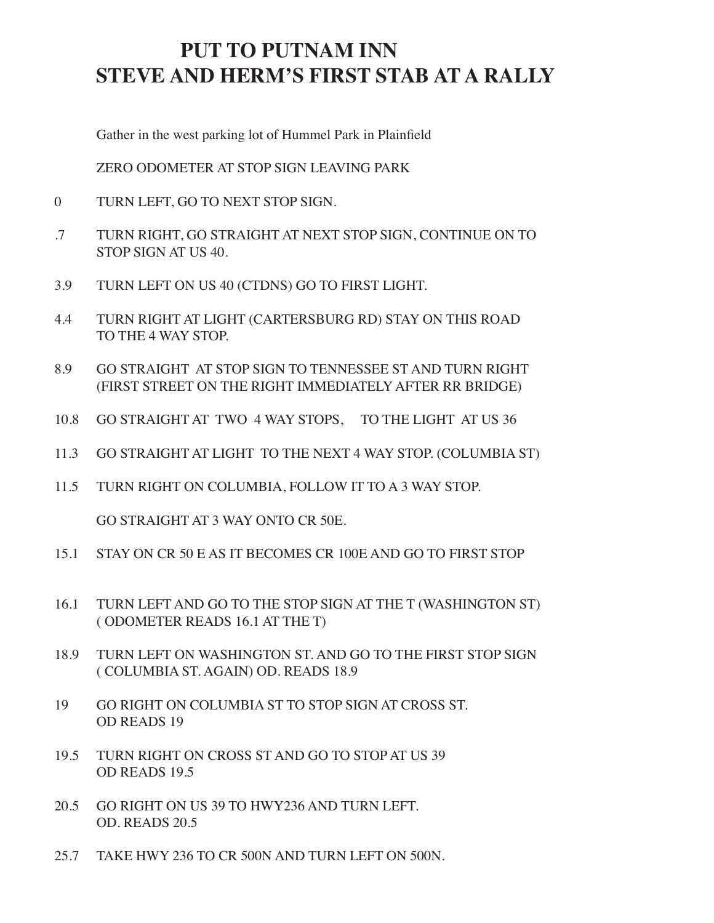## **PUT TO PUTNAM INN STEVE AND HERM'S FIRST STAB AT A RALLY**

 Gather in the west parking lot of Hummel Park in Plainfield

 ZERO ODOMETER AT STOP SIGN LEAVING PARK

- 0 TURN LEFT, GO TO NEXT STOP SIGN.
- .7 TURN RIGHT, GO STRAIGHT AT NEXT STOP SIGN, CONTINUE ON TO STOP SIGN AT US 40.
- 3.9 TURN LEFT ON US 40 (CTDNS) GO TO FIRST LIGHT.
- 4.4 TURN RIGHT AT LIGHT (CARTERSBURG RD) STAY ON THIS ROAD TO THE 4 WAY STOP.
- 8.9 GO STRAIGHT AT STOP SIGN TO TENNESSEE ST AND TURN RIGHT (FIRST STREET ON THE RIGHT IMMEDIATELY AFTER RR BRIDGE)
- 10.8 GO STRAIGHT AT TWO 4 WAY STOPS, TO THE LIGHT AT US 36
- 11.3 GO STRAIGHT AT LIGHT TO THE NEXT 4 WAY STOP. (COLUMBIA ST)
- 11.5 TURN RIGHT ON COLUMBIA, FOLLOW IT TO A 3 WAY STOP.

 GO STRAIGHT AT 3 WAY ONTO CR 50E.

- 15.1 STAY ON CR 50 E AS IT BECOMES CR 100E AND GO TO FIRST STOP
- 16.1 TURN LEFT AND GO TO THE STOP SIGN AT THE T (WASHINGTON ST) ( ODOMETER READS 16.1 AT THE T)
- 18.9 TURN LEFT ON WASHINGTON ST. AND GO TO THE FIRST STOP SIGN ( COLUMBIA ST. AGAIN) OD. READS 18.9
- 19 GO RIGHT ON COLUMBIA ST TO STOP SIGN AT CROSS ST. OD READS 19
- 19.5 TURN RIGHT ON CROSS ST AND GO TO STOP AT US 39 OD READS 19.5
- 20.5 GO RIGHT ON US 39 TO HWY236 AND TURN LEFT. OD. READS 20.5
- 25.7 TAKE HWY 236 TO CR 500N AND TURN LEFT ON 500N.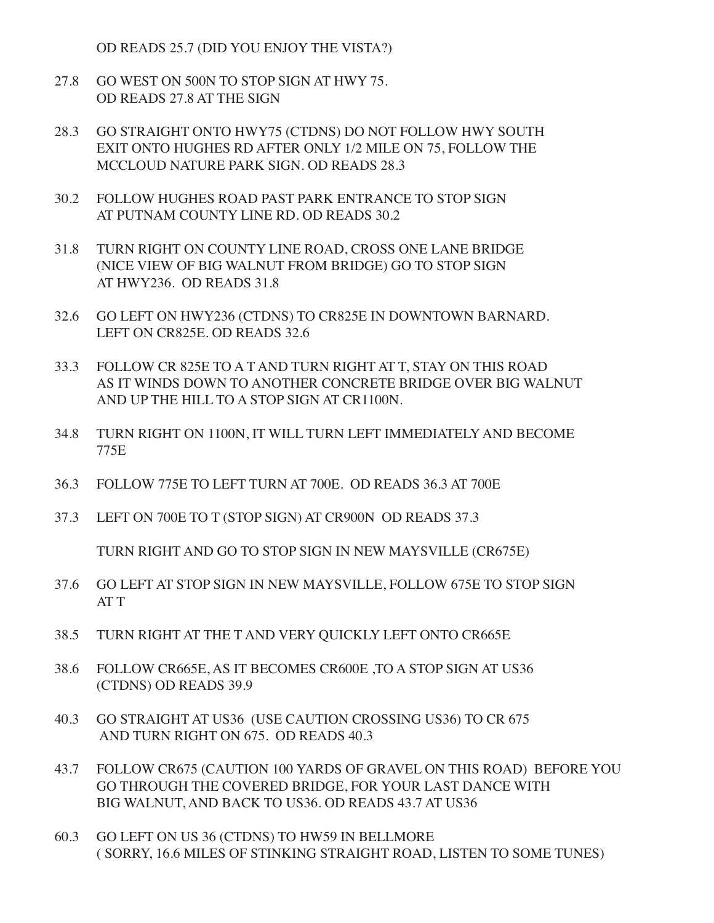OD READS 25.7 (DID YOU ENJOY THE VISTA?)

- 27.8 GO WEST ON 500N TO STOP SIGN AT HWY 75. OD READS 27.8 AT THE SIGN
- 28.3 GO STRAIGHT ONTO HWY75 (CTDNS) DO NOT FOLLOW HWY SOUTH EXIT ONTO HUGHES RD AFTER ONLY 1/2 MILE ON 75, FOLLOW THE MCCLOUD NATURE PARK SIGN. OD READS 28.3
- 30.2 FOLLOW HUGHES ROAD PAST PARK ENTRANCE TO STOP SIGN AT PUTNAM COUNTY LINE RD. OD READS 30.2
- 31.8 TURN RIGHT ON COUNTY LINE ROAD, CROSS ONE LANE BRIDGE (NICE VIEW OF BIG WALNUT FROM BRIDGE) GO TO STOP SIGN AT HWY236. OD READS 31.8
- 32.6 GO LEFT ON HWY236 (CTDNS) TO CR825E IN DOWNTOWN BARNARD. LEFT ON CR825E. OD READS 32.6
- 33.3 FOLLOW CR 825E TO A T AND TURN RIGHT AT T, STAY ON THIS ROAD AS IT WINDS DOWN TO ANOTHER CONCRETE BRIDGE OVER BIG WALNUT AND UP THE HILL TO A STOP SIGN AT CR1100N.
- 34.8 TURN RIGHT ON 1100N, IT WILL TURN LEFT IMMEDIATELY AND BECOME 775E
- 36.3 FOLLOW 775E TO LEFT TURN AT 700E. OD READS 36.3 AT 700E
- 37.3 LEFT ON 700E TO T (STOP SIGN) AT CR900N OD READS 37.3

 TURN RIGHT AND GO TO STOP SIGN IN NEW MAYSVILLE (CR675E)

- 37.6 GO LEFT AT STOP SIGN IN NEW MAYSVILLE, FOLLOW 675E TO STOP SIGN AT T
- 38.5 TURN RIGHT AT THE T AND VERY QUICKLY LEFT ONTO CR665E
- 38.6 FOLLOW CR665E, AS IT BECOMES CR600E ,TO A STOP SIGN AT US36 (CTDNS) OD READS 39.9
- 40.3 GO STRAIGHT AT US36 (USE CAUTION CROSSING US36) TO CR 675 AND TURN RIGHT ON 675. OD READS 40.3
- 43.7 FOLLOW CR675 (CAUTION 100 YARDS OF GRAVEL ON THIS ROAD) BEFORE YOU GO THROUGH THE COVERED BRIDGE, FOR YOUR LAST DANCE WITH BIG WALNUT, AND BACK TO US36. OD READS 43.7 AT US36
- 60.3 GO LEFT ON US 36 (CTDNS) TO HW59 IN BELLMORE ( SORRY, 16.6 MILES OF STINKING STRAIGHT ROAD, LISTEN TO SOME TUNES)